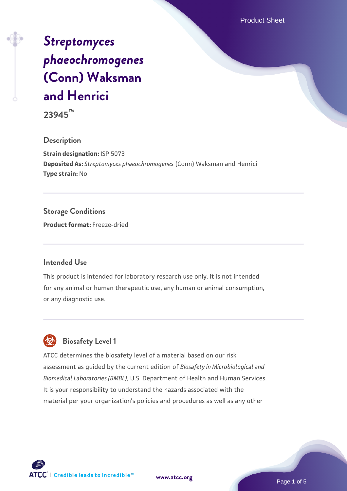Product Sheet

# *[Streptomyces](https://www.atcc.org/products/23945) [phaeochromogenes](https://www.atcc.org/products/23945)* **[\(Conn\) Waksman](https://www.atcc.org/products/23945) [and Henrici](https://www.atcc.org/products/23945)**

**23945™**

#### **Description**

**Strain designation:** ISP 5073 **Deposited As:** *Streptomyces phaeochromogenes* (Conn) Waksman and Henrici **Type strain:** No

## **Storage Conditions**

**Product format:** Freeze-dried

#### **Intended Use**

This product is intended for laboratory research use only. It is not intended for any animal or human therapeutic use, any human or animal consumption, or any diagnostic use.

# **Biosafety Level 1**

ATCC determines the biosafety level of a material based on our risk assessment as guided by the current edition of *Biosafety in Microbiological and Biomedical Laboratories (BMBL)*, U.S. Department of Health and Human Services. It is your responsibility to understand the hazards associated with the material per your organization's policies and procedures as well as any other



**[www.atcc.org](http://www.atcc.org)**

Page 1 of 5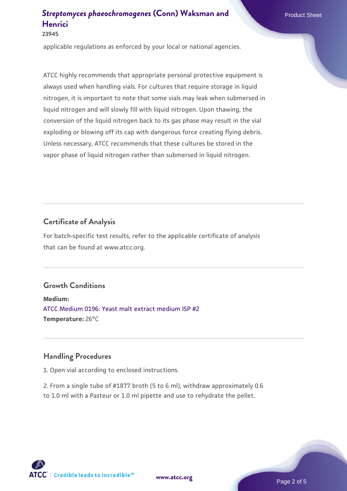**23945**

applicable regulations as enforced by your local or national agencies.

ATCC highly recommends that appropriate personal protective equipment is always used when handling vials. For cultures that require storage in liquid nitrogen, it is important to note that some vials may leak when submersed in liquid nitrogen and will slowly fill with liquid nitrogen. Upon thawing, the conversion of the liquid nitrogen back to its gas phase may result in the vial exploding or blowing off its cap with dangerous force creating flying debris. Unless necessary, ATCC recommends that these cultures be stored in the vapor phase of liquid nitrogen rather than submersed in liquid nitrogen.

## **Certificate of Analysis**

For batch-specific test results, refer to the applicable certificate of analysis that can be found at www.atcc.org.

## **Growth Conditions**

**Medium:**  [ATCC Medium 0196: Yeast malt extract medium ISP #2](https://www.atcc.org/-/media/product-assets/documents/microbial-media-formulations/1/9/6/atcc-medium-0196.pdf?rev=3ab98ce3034f46208b34017336aa4c86) **Temperature:** 26°C

## **Handling Procedures**

1. Open vial according to enclosed instructions.

2. From a single tube of #1877 broth (5 to 6 ml), withdraw approximately 0.6 to 1.0 ml with a Pasteur or 1.0 ml pipette and use to rehydrate the pellet.

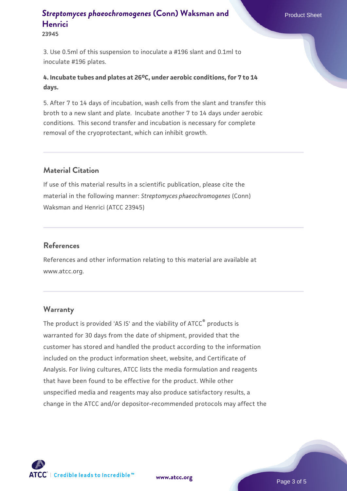3. Use 0.5ml of this suspension to inoculate a #196 slant and 0.1ml to inoculate #196 plates.

**4. Incubate tubes and plates at 26oC, under aerobic conditions, for 7 to 14 days.**

5. After 7 to 14 days of incubation, wash cells from the slant and transfer this broth to a new slant and plate. Incubate another 7 to 14 days under aerobic conditions. This second transfer and incubation is necessary for complete removal of the cryoprotectant, which can inhibit growth.

## **Material Citation**

If use of this material results in a scientific publication, please cite the material in the following manner: *Streptomyces phaeochromogenes* (Conn) Waksman and Henrici (ATCC 23945)

#### **References**

References and other information relating to this material are available at www.atcc.org.

## **Warranty**

The product is provided 'AS IS' and the viability of ATCC® products is warranted for 30 days from the date of shipment, provided that the customer has stored and handled the product according to the information included on the product information sheet, website, and Certificate of Analysis. For living cultures, ATCC lists the media formulation and reagents that have been found to be effective for the product. While other unspecified media and reagents may also produce satisfactory results, a change in the ATCC and/or depositor-recommended protocols may affect the

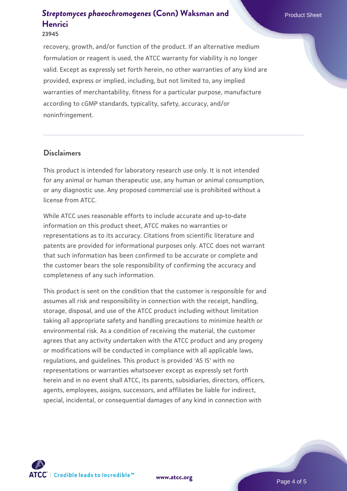#### **23945**

recovery, growth, and/or function of the product. If an alternative medium formulation or reagent is used, the ATCC warranty for viability is no longer valid. Except as expressly set forth herein, no other warranties of any kind are provided, express or implied, including, but not limited to, any implied warranties of merchantability, fitness for a particular purpose, manufacture according to cGMP standards, typicality, safety, accuracy, and/or noninfringement.

#### **Disclaimers**

This product is intended for laboratory research use only. It is not intended for any animal or human therapeutic use, any human or animal consumption, or any diagnostic use. Any proposed commercial use is prohibited without a license from ATCC.

While ATCC uses reasonable efforts to include accurate and up-to-date information on this product sheet, ATCC makes no warranties or representations as to its accuracy. Citations from scientific literature and patents are provided for informational purposes only. ATCC does not warrant that such information has been confirmed to be accurate or complete and the customer bears the sole responsibility of confirming the accuracy and completeness of any such information.

This product is sent on the condition that the customer is responsible for and assumes all risk and responsibility in connection with the receipt, handling, storage, disposal, and use of the ATCC product including without limitation taking all appropriate safety and handling precautions to minimize health or environmental risk. As a condition of receiving the material, the customer agrees that any activity undertaken with the ATCC product and any progeny or modifications will be conducted in compliance with all applicable laws, regulations, and guidelines. This product is provided 'AS IS' with no representations or warranties whatsoever except as expressly set forth herein and in no event shall ATCC, its parents, subsidiaries, directors, officers, agents, employees, assigns, successors, and affiliates be liable for indirect, special, incidental, or consequential damages of any kind in connection with